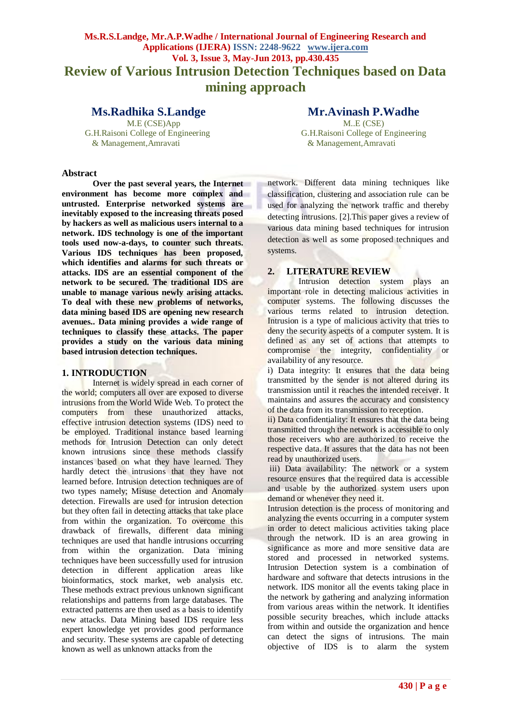# **Ms.R.S.Landge, Mr.A.P.Wadhe / International Journal of Engineering Research and Applications (IJERA) ISSN: 2248-9622 www.ijera.com Vol. 3, Issue 3, May-Jun 2013, pp.430.435 Review of Various Intrusion Detection Techniques based on Data mining approach**

M.E (CSE)App & Management,Amravati & Management,Amravati

**Abstract**

**Over the past several years, the Internet environment has become more complex and untrusted. Enterprise networked systems are inevitably exposed to the increasing threats posed by hackers as well as malicious users internal to a network. IDS technology is one of the important tools used now-a-days, to counter such threats. Various IDS techniques has been proposed, which identifies and alarms for such threats or attacks. IDS are an essential component of the network to be secured. The traditional IDS are unable to manage various newly arising attacks. To deal with these new problems of networks, data mining based IDS are opening new research avenues.. Data mining provides a wide range of techniques to classify these attacks. The paper provides a study on the various data mining based intrusion detection techniques.**

# **1. INTRODUCTION**

Internet is widely spread in each corner of the world; computers all over are exposed to diverse intrusions from the World Wide Web. To protect the computers from these unauthorized attacks, effective intrusion detection systems (IDS) need to be employed. Traditional instance based learning methods for Intrusion Detection can only detect known intrusions since these methods classify instances based on what they have learned. They hardly detect the intrusions that they have not learned before. Intrusion detection techniques are of two types namely; Misuse detection and Anomaly detection. Firewalls are used for intrusion detection but they often fail in detecting attacks that take place from within the organization. To overcome this drawback of firewalls, different data mining techniques are used that handle intrusions occurring from within the organization. Data mining techniques have been successfully used for intrusion detection in different application areas like bioinformatics, stock market, web analysis etc. These methods extract previous unknown significant relationships and patterns from large databases. The extracted patterns are then used as a basis to identify new attacks. Data Mining based IDS require less expert knowledge yet provides good performance and security. These systems are capable of detecting known as well as unknown attacks from the

**Ms.Radhika S.Landge Mr.Avinash P.Wadhe M.E** (CSE) M.E. G.H.Raisoni College of Engineering G.H.Raisoni College of Engineering

> network. Different data mining techniques like classification, clustering and association rule can be used for analyzing the network traffic and thereby detecting intrusions. [2].This paper gives a review of various data mining based techniques for intrusion detection as well as some proposed techniques and systems.

# **2. LITERATURE REVIEW**

Intrusion detection system plays an important role in detecting malicious activities in computer systems. The following discusses the various terms related to intrusion detection. Intrusion is a type of malicious activity that tries to deny the security aspects of a computer system. It is defined as any set of actions that attempts to compromise the integrity, confidentiality or availability of any resource.

i) Data integrity: It ensures that the data being transmitted by the sender is not altered during its transmission until it reaches the intended receiver. It maintains and assures the accuracy and consistency of the data from its transmission to reception.

ii) Data confidentiality: It ensures that the data being transmitted through the network is accessible to only those receivers who are authorized to receive the respective data. It assures that the data has not been read by unauthorized users.

iii) Data availability: The network or a system resource ensures that the required data is accessible and usable by the authorized system users upon demand or whenever they need it.

Intrusion detection is the process of monitoring and analyzing the events occurring in a computer system in order to detect malicious activities taking place through the network. ID is an area growing in significance as more and more sensitive data are stored and processed in networked systems. Intrusion Detection system is a combination of hardware and software that detects intrusions in the network. IDS monitor all the events taking place in the network by gathering and analyzing information from various areas within the network. It identifies possible security breaches, which include attacks from within and outside the organization and hence can detect the signs of intrusions. The main objective of IDS is to alarm the system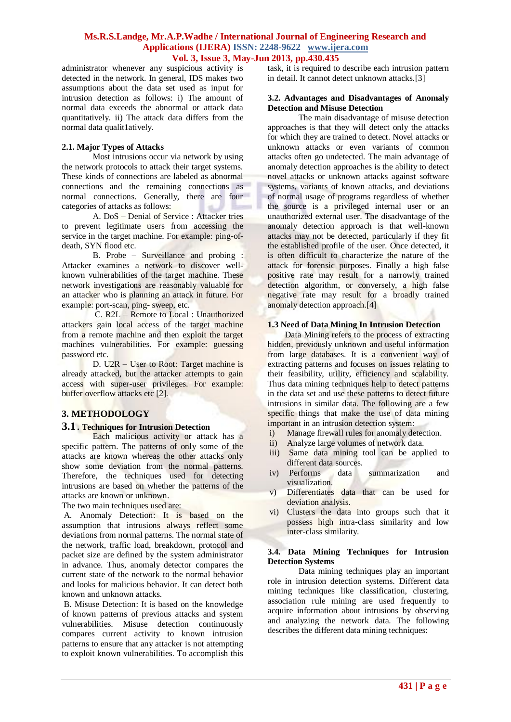administrator whenever any suspicious activity is detected in the network. In general, IDS makes two assumptions about the data set used as input for intrusion detection as follows: i) The amount of normal data exceeds the abnormal or attack data quantitatively. ii) The attack data differs from the normal data qualit1atively.

# **2.1. Major Types of Attacks**

Most intrusions occur via network by using the network protocols to attack their target systems. These kinds of connections are labeled as abnormal connections and the remaining connections as normal connections. Generally, there are four categories of attacks as follows:

A. DoS – Denial of Service : Attacker tries to prevent legitimate users from accessing the service in the target machine. For example: ping-ofdeath, SYN flood etc.

B. Probe – Surveillance and probing : Attacker examines a network to discover wellknown vulnerabilities of the target machine. These network investigations are reasonably valuable for an attacker who is planning an attack in future. For example: port-scan, ping- sweep, etc.

C. R2L – Remote to Local : Unauthorized attackers gain local access of the target machine from a remote machine and then exploit the target machines vulnerabilities. For example: guessing password etc.

D. U2R – User to Root: Target machine is already attacked, but the attacker attempts to gain access with super-user privileges. For example: buffer overflow attacks etc [2].

# **3. METHODOLOGY**

## **3.1 . Techniques for Intrusion Detection**

Each malicious activity or attack has a specific pattern. The patterns of only some of the attacks are known whereas the other attacks only show some deviation from the normal patterns. Therefore, the techniques used for detecting intrusions are based on whether the patterns of the attacks are known or unknown.

The two main techniques used are:

A*.* Anomaly Detection: It is based on the assumption that intrusions always reflect some deviations from normal patterns. The normal state of the network, traffic load, breakdown, protocol and packet size are defined by the system administrator in advance. Thus, anomaly detector compares the current state of the network to the normal behavior and looks for malicious behavior. It can detect both known and unknown attacks.

B. Misuse Detection: It is based on the knowledge of known patterns of previous attacks and system vulnerabilities. Misuse detection continuously compares current activity to known intrusion patterns to ensure that any attacker is not attempting to exploit known vulnerabilities. To accomplish this

task, it is required to describe each intrusion pattern in detail. It cannot detect unknown attacks.[3]

#### **3.2. Advantages and Disadvantages of Anomaly Detection and Misuse Detection**

The main disadvantage of misuse detection approaches is that they will detect only the attacks for which they are trained to detect. Novel attacks or unknown attacks or even variants of common attacks often go undetected. The main advantage of anomaly detection approaches is the ability to detect novel attacks or unknown attacks against software systems, variants of known attacks, and deviations of normal usage of programs regardless of whether the source is a privileged internal user or an unauthorized external user. The disadvantage of the anomaly detection approach is that well-known attacks may not be detected, particularly if they fit the established profile of the user. Once detected, it is often difficult to characterize the nature of the attack for forensic purposes. Finally a high false positive rate may result for a narrowly trained detection algorithm, or conversely, a high false negative rate may result for a broadly trained anomaly detection approach.[4]

#### **1.3 Need of Data Mining In Intrusion Detection**

Data Mining refers to the process of extracting hidden, previously unknown and useful information from large databases. It is a convenient way of extracting patterns and focuses on issues relating to their feasibility, utility, efficiency and scalability. Thus data mining techniques help to detect patterns in the data set and use these patterns to detect future intrusions in similar data. The following are a few specific things that make the use of data mining important in an intrusion detection system:

- i) Manage firewall rules for anomaly detection.
- ii) Analyze large volumes of network data.
- iii) Same data mining tool can be applied to different data sources.
- iv) Performs data summarization and visualization.
- v) Differentiates data that can be used for deviation analysis.
- vi) Clusters the data into groups such that it possess high intra-class similarity and low inter-class similarity.

#### **3.4. Data Mining Techniques for Intrusion Detection Systems**

Data mining techniques play an important role in intrusion detection systems. Different data mining techniques like classification, clustering, association rule mining are used frequently to acquire information about intrusions by observing and analyzing the network data. The following describes the different data mining techniques: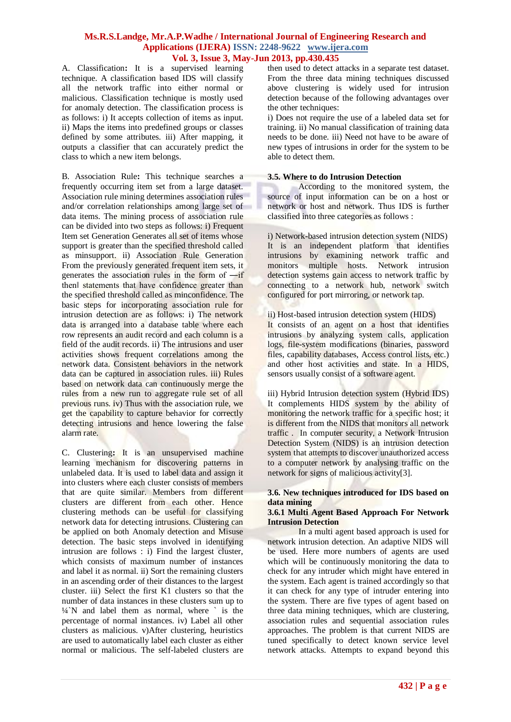A. Classification**:** It is a supervised learning technique. A classification based IDS will classify all the network traffic into either normal or malicious. Classification technique is mostly used for anomaly detection. The classification process is as follows: i) It accepts collection of items as input. ii) Maps the items into predefined groups or classes defined by some attributes. iii) After mapping, it outputs a classifier that can accurately predict the class to which a new item belongs.

B. Association Rule**:** This technique searches a frequently occurring item set from a large dataset. Association rule mining determines association rules and/or correlation relationships among large set of data items. The mining process of association rule can be divided into two steps as follows: i) Frequent Item set Generation Generates all set of items whose support is greater than the specified threshold called as minsupport. ii) Association Rule Generation From the previously generated frequent item sets, it generates the association rules in the form of ―if then statements that have confidence greater than the specified threshold called as minconfidence. The basic steps for incorporating association rule for intrusion detection are as follows: i) The network data is arranged into a database table where each row represents an audit record and each column is a field of the audit records. ii) The intrusions and user activities shows frequent correlations among the network data. Consistent behaviors in the network data can be captured in association rules. iii) Rules based on network data can continuously merge the rules from a new run to aggregate rule set of all previous runs. iv) Thus with the association rule, we get the capability to capture behavior for correctly detecting intrusions and hence lowering the false alarm rate.

C. Clustering**:** It is an unsupervised machine learning mechanism for discovering patterns in unlabeled data. It is used to label data and assign it into clusters where each cluster consists of members that are quite similar. Members from different clusters are different from each other. Hence clustering methods can be useful for classifying network data for detecting intrusions. Clustering can be applied on both Anomaly detection and Misuse detection. The basic steps involved in identifying intrusion are follows : i) Find the largest cluster. which consists of maximum number of instances and label it as normal. ii) Sort the remaining clusters in an ascending order of their distances to the largest cluster. iii) Select the first K1 clusters so that the number of data instances in these clusters sum up to  $\frac{1}{4}$  M and label them as normal, where  $\degree$  is the percentage of normal instances. iv) Label all other clusters as malicious. v)After clustering, heuristics are used to automatically label each cluster as either normal or malicious. The self-labeled clusters are then used to detect attacks in a separate test dataset. From the three data mining techniques discussed above clustering is widely used for intrusion detection because of the following advantages over the other techniques:

i) Does not require the use of a labeled data set for training. ii) No manual classification of training data needs to be done. iii) Need not have to be aware of new types of intrusions in order for the system to be able to detect them.

#### **3.5. Where to do Intrusion Detection**

According to the monitored system, the source of input information can be on a host or network or host and network. Thus IDS is further classified into three categories as follows :

i) Network-based intrusion detection system (NIDS) It is an independent platform that identifies intrusions by examining network traffic and monitors multiple hosts. Network intrusion detection systems gain access to network traffic by connecting to a network hub, network switch configured for port mirroring, or network tap.

# ii) Host-based intrusion detection system (HIDS)

It consists of an agent on a host that identifies intrusions by analyzing system calls, application logs, file-system modifications (binaries, password files, capability databases, Access control lists, etc.) and other host activities and state. In a HIDS, sensors usually consist of a software agent.

iii) Hybrid Intrusion detection system (Hybrid IDS) It complements HIDS system by the ability of monitoring the network traffic for a specific host; it is different from the NIDS that monitors all network traffic . In computer security, a Network Intrusion Detection System (NIDS) is an intrusion detection system that attempts to discover unauthorized access to a computer network by analysing traffic on the network for signs of malicious activity[3].

# **3.6. New techniques introduced for IDS based on data mining**

#### **3.6.1 Multi Agent Based Approach For Network Intrusion Detection**

In a multi agent based approach is used for network intrusion detection. An adaptive NIDS will be used. Here more numbers of agents are used which will be continuously monitoring the data to check for any intruder which might have entered in the system. Each agent is trained accordingly so that it can check for any type of intruder entering into the system. There are five types of agent based on three data mining techniques, which are clustering, association rules and sequential association rules approaches. The problem is that current NIDS are tuned specifically to detect known service level network attacks. Attempts to expand beyond this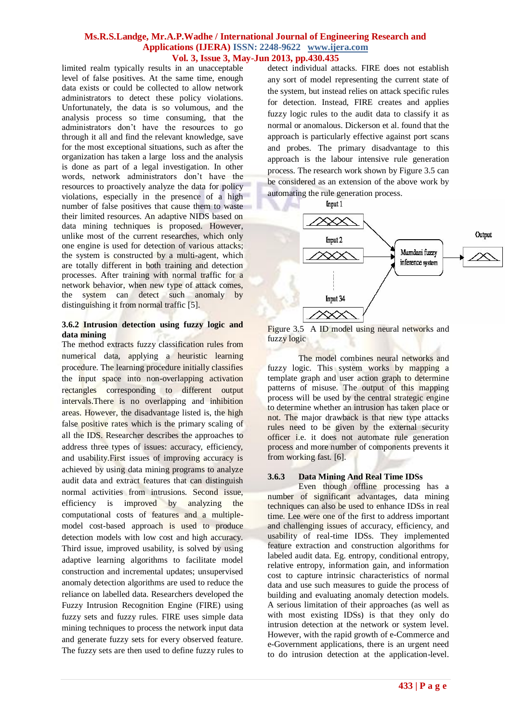limited realm typically results in an unacceptable level of false positives. At the same time, enough data exists or could be collected to allow network administrators to detect these policy violations. Unfortunately, the data is so volumous, and the analysis process so time consuming, that the administrators don't have the resources to go through it all and find the relevant knowledge, save for the most exceptional situations, such as after the organization has taken a large loss and the analysis is done as part of a legal investigation. In other words, network administrators don't have the resources to proactively analyze the data for policy violations, especially in the presence of a high number of false positives that cause them to waste their limited resources. An adaptive NIDS based on data mining techniques is proposed. However, unlike most of the current researches, which only one engine is used for detection of various attacks; the system is constructed by a multi-agent, which are totally different in both training and detection processes. After training with normal traffic for a network behavior, when new type of attack comes, the system can detect such anomaly by distinguishing it from normal traffic [5].

### **3.6.2 Intrusion detection using fuzzy logic and data mining**

The method extracts fuzzy classification rules from numerical data, applying a heuristic learning procedure. The learning procedure initially classifies the input space into non-overlapping activation rectangles corresponding to different output intervals.There is no overlapping and inhibition areas. However, the disadvantage listed is, the high false positive rates which is the primary scaling of all the IDS. Researcher describes the approaches to address three types of issues: accuracy, efficiency, and usability.First issues of improving accuracy is achieved by using data mining programs to analyze audit data and extract features that can distinguish normal activities from intrusions. Second issue, efficiency is improved by analyzing the computational costs of features and a multiplemodel cost-based approach is used to produce detection models with low cost and high accuracy. Third issue, improved usability, is solved by using adaptive learning algorithms to facilitate model construction and incremental updates; unsupervised anomaly detection algorithms are used to reduce the reliance on labelled data. Researchers developed the Fuzzy Intrusion Recognition Engine (FIRE) using fuzzy sets and fuzzy rules. FIRE uses simple data mining techniques to process the network input data and generate fuzzy sets for every observed feature. The fuzzy sets are then used to define fuzzy rules to

detect individual attacks. FIRE does not establish any sort of model representing the current state of the system, but instead relies on attack specific rules for detection. Instead, FIRE creates and applies fuzzy logic rules to the audit data to classify it as normal or anomalous. Dickerson et al. found that the approach is particularly effective against port scans and probes. The primary disadvantage to this approach is the labour intensive rule generation process. The research work shown by Figure 3.5 can be considered as an extension of the above work by automating the rule generation process.



Figure 3.5A ID model using neural networks and fuzzy logic

The model combines neural networks and fuzzy logic. This system works by mapping a template graph and user action graph to determine patterns of misuse. The output of this mapping process will be used by the central strategic engine to determine whether an intrusion has taken place or not. The major drawback is that new type attacks rules need to be given by the external security officer i.e. it does not automate rule generation process and more number of components prevents it from working fast. [6].

#### **3.6.3 Data Mining And Real Time IDSs**

Even though offline processing has a number of significant advantages, data mining techniques can also be used to enhance IDSs in real time. Lee were one of the first to address important and challenging issues of accuracy, efficiency, and usability of real-time IDSs. They implemented feature extraction and construction algorithms for labeled audit data. Eg. entropy, conditional entropy, relative entropy, information gain, and information cost to capture intrinsic characteristics of normal data and use such measures to guide the process of building and evaluating anomaly detection models. A serious limitation of their approaches (as well as with most existing IDSs) is that they only do intrusion detection at the network or system level. However, with the rapid growth of e-Commerce and e-Government applications, there is an urgent need to do intrusion detection at the application-level.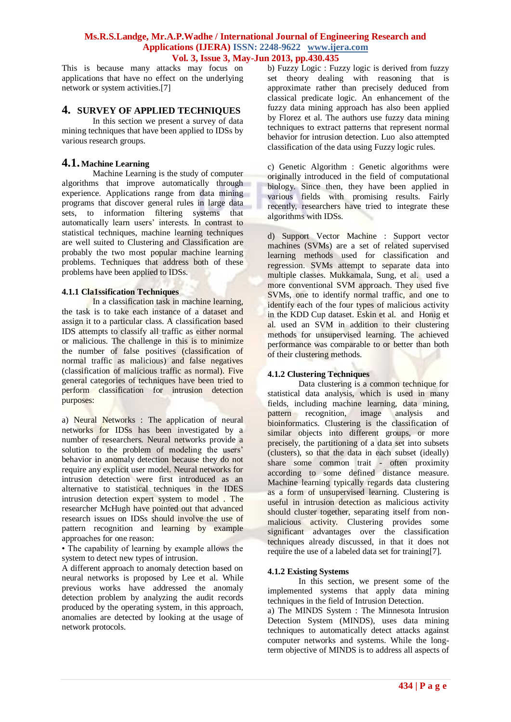This is because many attacks may focus on applications that have no effect on the underlying network or system activities.[7]

# **4. SURVEY OF APPLIED TECHNIQUES**

In this section we present a survey of data mining techniques that have been applied to IDSs by various research groups.

# **4.1. Machine Learning**

Machine Learning is the study of computer algorithms that improve automatically through experience. Applications range from data mining programs that discover general rules in large data sets, to information filtering systems that automatically learn users' interests. In contrast to statistical techniques, machine learning techniques are well suited to Clustering and Classification are probably the two most popular machine learning problems. Techniques that address both of these problems have been applied to IDSs.

# **4.1.1 Cla1ssification Techniques**

In a classification task in machine learning, the task is to take each instance of a dataset and assign it to a particular class. A classification based IDS attempts to classify all traffic as either normal or malicious. The challenge in this is to minimize the number of false positives (classification of normal traffic as malicious) and false negatives (classification of malicious traffic as normal). Five general categories of techniques have been tried to perform classification for intrusion detection purposes:

a) Neural Networks : The application of neural networks for IDSs has been investigated by a number of researchers. Neural networks provide a solution to the problem of modeling the users' behavior in anomaly detection because they do not require any explicit user model. Neural networks for intrusion detection were first introduced as an alternative to statistical techniques in the IDES intrusion detection expert system to model . The researcher McHugh have pointed out that advanced research issues on IDSs should involve the use of pattern recognition and learning by example approaches for one reason:

• The capability of learning by example allows the system to detect new types of intrusion.

A different approach to anomaly detection based on neural networks is proposed by Lee et al. While previous works have addressed the anomaly detection problem by analyzing the audit records produced by the operating system, in this approach, anomalies are detected by looking at the usage of network protocols.

b) Fuzzy Logic : Fuzzy logic is derived from fuzzy set theory dealing with reasoning that is approximate rather than precisely deduced from classical predicate logic. An enhancement of the fuzzy data mining approach has also been applied by Florez et al. The authors use fuzzy data mining techniques to extract patterns that represent normal behavior for intrusion detection. Luo also attempted classification of the data using Fuzzy logic rules.

c) Genetic Algorithm : Genetic algorithms were originally introduced in the field of computational biology. Since then, they have been applied in various fields with promising results. Fairly recently, researchers have tried to integrate these algorithms with IDSs.

d) Support Vector Machine : Support vector machines (SVMs) are a set of related supervised learning methods used for classification and regression. SVMs attempt to separate data into multiple classes. Mukkamala, Sung, et al. used a more conventional SVM approach. They used five SVMs, one to identify normal traffic, and one to identify each of the four types of malicious activity in the KDD Cup dataset. Eskin et al. and Honig et al. used an SVM in addition to their clustering methods for unsupervised learning. The achieved performance was comparable to or better than both of their clustering methods.

# **4.1.2 Clustering Techniques**

Data clustering is a common technique for statistical data analysis, which is used in many fields, including machine learning, data mining, pattern recognition, image analysis and bioinformatics. Clustering is the classification of similar objects into different groups, or more precisely, the partitioning of a data set into subsets (clusters), so that the data in each subset (ideally) share some common trait - often proximity according to some defined distance measure. Machine learning typically regards data clustering as a form of unsupervised learning. Clustering is useful in intrusion detection as malicious activity should cluster together, separating itself from nonmalicious activity. Clustering provides some significant advantages over the classification techniques already discussed, in that it does not require the use of a labeled data set for training[7].

# **4.1.2 Existing Systems**

In this section, we present some of the implemented systems that apply data mining techniques in the field of Intrusion Detection.

a) The MINDS System : The Minnesota Intrusion Detection System (MINDS), uses data mining techniques to automatically detect attacks against computer networks and systems. While the longterm objective of MINDS is to address all aspects of